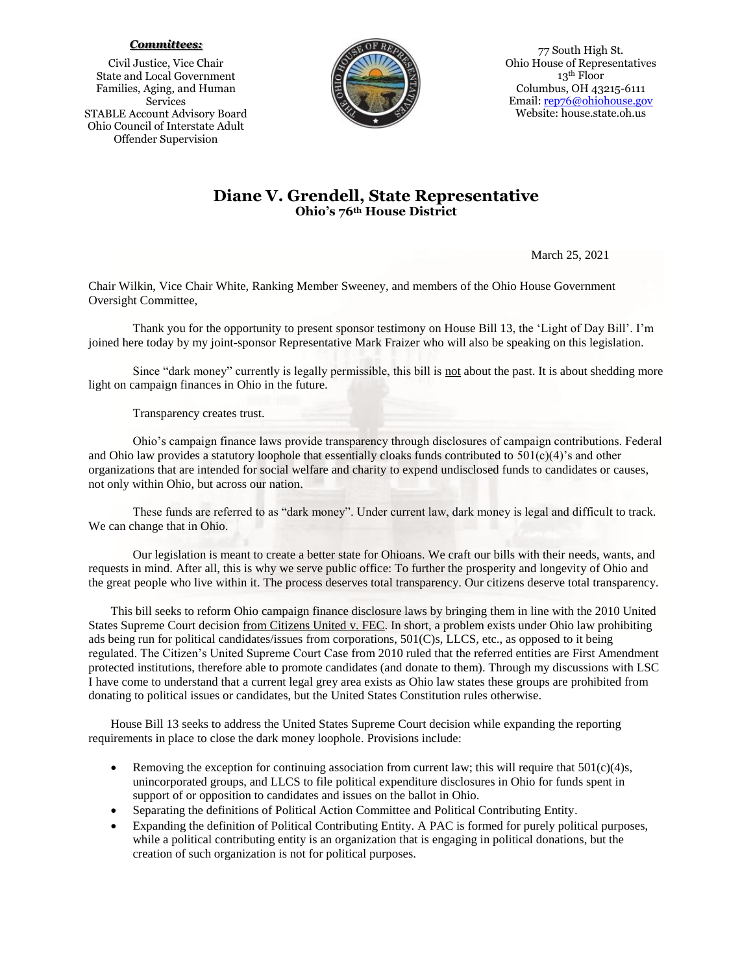## *Committees:*

Civil Justice, Vice Chair State and Local Government Families, Aging, and Human Services STABLE Account Advisory Board Ohio Council of Interstate Adult Offender Supervision



77 South High St. Ohio House of Representatives 13th Floor Columbus, OH 43215-6111 Email: [rep76@ohiohouse.gov](mailto:rep76@ohiohouse.gov) Website: house.state.oh.us

## **Diane V. Grendell, State Representative Ohio's 76th House District**

March 25, 2021

Chair Wilkin, Vice Chair White, Ranking Member Sweeney, and members of the Ohio House Government Oversight Committee,

Thank you for the opportunity to present sponsor testimony on House Bill 13, the 'Light of Day Bill'. I'm joined here today by my joint-sponsor Representative Mark Fraizer who will also be speaking on this legislation.

Since "dark money" currently is legally permissible, this bill is not about the past. It is about shedding more light on campaign finances in Ohio in the future.

## Transparency creates trust.

Ohio's campaign finance laws provide transparency through disclosures of campaign contributions. Federal and Ohio law provides a statutory loophole that essentially cloaks funds contributed to  $501(c)(4)$ 's and other organizations that are intended for social welfare and charity to expend undisclosed funds to candidates or causes, not only within Ohio, but across our nation.

These funds are referred to as "dark money". Under current law, dark money is legal and difficult to track. We can change that in Ohio.

Our legislation is meant to create a better state for Ohioans. We craft our bills with their needs, wants, and requests in mind. After all, this is why we serve public office: To further the prosperity and longevity of Ohio and the great people who live within it. The process deserves total transparency. Our citizens deserve total transparency.

This bill seeks to reform Ohio campaign finance disclosure laws by bringing them in line with the 2010 United States Supreme Court decision from Citizens United v. FEC. In short, a problem exists under Ohio law prohibiting ads being run for political candidates/issues from corporations, 501(C)s, LLCS, etc., as opposed to it being regulated. The Citizen's United Supreme Court Case from 2010 ruled that the referred entities are First Amendment protected institutions, therefore able to promote candidates (and donate to them). Through my discussions with LSC I have come to understand that a current legal grey area exists as Ohio law states these groups are prohibited from donating to political issues or candidates, but the United States Constitution rules otherwise.

House Bill 13 seeks to address the United States Supreme Court decision while expanding the reporting requirements in place to close the dark money loophole. Provisions include:

- Removing the exception for continuing association from current law; this will require that  $501(c)(4)s$ , unincorporated groups, and LLCS to file political expenditure disclosures in Ohio for funds spent in support of or opposition to candidates and issues on the ballot in Ohio.
- Separating the definitions of Political Action Committee and Political Contributing Entity.
- Expanding the definition of Political Contributing Entity. A PAC is formed for purely political purposes, while a political contributing entity is an organization that is engaging in political donations, but the creation of such organization is not for political purposes.